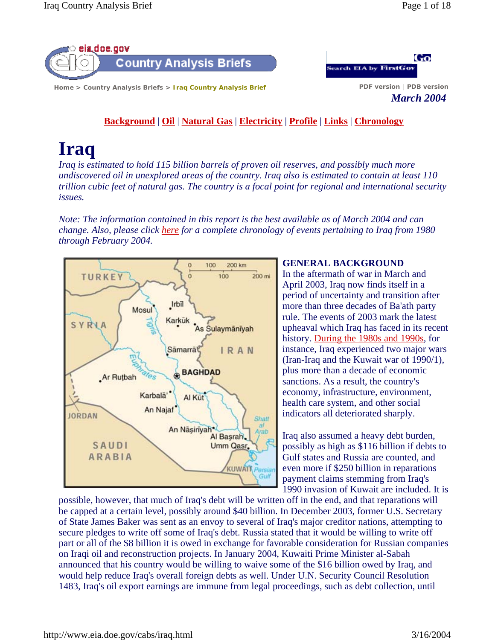



*March 2004*

**Background** | **Oil** | **Natural Gas** | **Electricity** | **Profile** | **Links** | **Chronology**

# **Iraq**

*Iraq is estimated to hold 115 billion barrels of proven oil reserves, and possibly much more undiscovered oil in unexplored areas of the country. Iraq also is estimated to contain at least 110 trillion cubic feet of natural gas. The country is a focal point for regional and international security issues.*

*Note: The information contained in this report is the best available as of March 2004 and can change. Also, please click here for a complete chronology of events pertaining to Iraq from 1980 through February 2004.*



# **GENERAL BACKGROUND**

In the aftermath of war in March and April 2003, Iraq now finds itself in a period of uncertainty and transition after more than three decades of Ba'ath party rule. The events of 2003 mark the latest upheaval which Iraq has faced in its recent history. During the 1980s and 1990s, for instance, Iraq experienced two major wars (Iran-Iraq and the Kuwait war of 1990/1), plus more than a decade of economic sanctions. As a result, the country's economy, infrastructure, environment, health care system, and other social indicators all deteriorated sharply.

Iraq also assumed a heavy debt burden, possibly as high as \$116 billion if debts to Gulf states and Russia are counted, and even more if \$250 billion in reparations payment claims stemming from Iraq's 1990 invasion of Kuwait are included. It is

possible, however, that much of Iraq's debt will be written off in the end, and that reparations will be capped at a certain level, possibly around \$40 billion. In December 2003, former U.S. Secretary of State James Baker was sent as an envoy to several of Iraq's major creditor nations, attempting to secure pledges to write off some of Iraq's debt. Russia stated that it would be willing to write off part or all of the \$8 billion it is owed in exchange for favorable consideration for Russian companies on Iraqi oil and reconstruction projects. In January 2004, Kuwaiti Prime Minister al-Sabah announced that his country would be willing to waive some of the \$16 billion owed by Iraq, and would help reduce Iraq's overall foreign debts as well. Under U.N. Security Council Resolution 1483, Iraq's oil export earnings are immune from legal proceedings, such as debt collection, until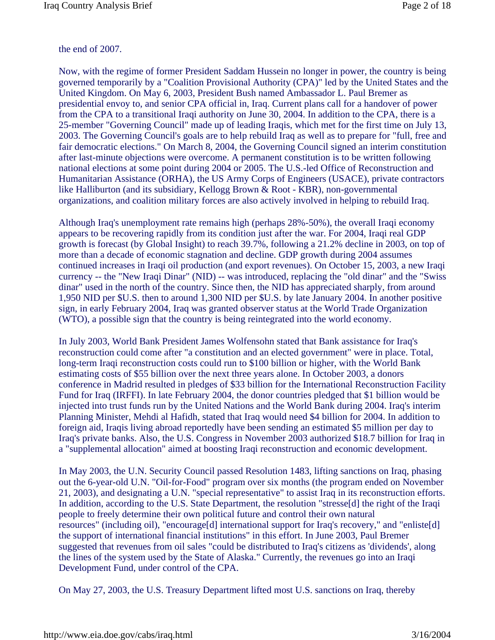## the end of 2007.

Now, with the regime of former President Saddam Hussein no longer in power, the country is being governed temporarily by a "Coalition Provisional Authority (CPA)" led by the United States and the United Kingdom. On May 6, 2003, President Bush named Ambassador L. Paul Bremer as presidential envoy to, and senior CPA official in, Iraq. Current plans call for a handover of power from the CPA to a transitional Iraqi authority on June 30, 2004. In addition to the CPA, there is a 25-member "Governing Council" made up of leading Iraqis, which met for the first time on July 13, 2003. The Governing Council's goals are to help rebuild Iraq as well as to prepare for "full, free and fair democratic elections." On March 8, 2004, the Governing Council signed an interim constitution after last-minute objections were overcome. A permanent constitution is to be written following national elections at some point during 2004 or 2005. The U.S.-led Office of Reconstruction and Humanitarian Assistance (ORHA), the US Army Corps of Engineers (USACE), private contractors like Halliburton (and its subsidiary, Kellogg Brown & Root - KBR), non-governmental organizations, and coalition military forces are also actively involved in helping to rebuild Iraq.

Although Iraq's unemployment rate remains high (perhaps 28%-50%), the overall Iraqi economy appears to be recovering rapidly from its condition just after the war. For 2004, Iraqi real GDP growth is forecast (by Global Insight) to reach 39.7%, following a 21.2% decline in 2003, on top of more than a decade of economic stagnation and decline. GDP growth during 2004 assumes continued increases in Iraqi oil production (and export revenues). On October 15, 2003, a new Iraqi currency -- the "New Iraqi Dinar" (NID) -- was introduced, replacing the "old dinar" and the "Swiss dinar" used in the north of the country. Since then, the NID has appreciated sharply, from around 1,950 NID per \$U.S. then to around 1,300 NID per \$U.S. by late January 2004. In another positive sign, in early February 2004, Iraq was granted observer status at the World Trade Organization (WTO), a possible sign that the country is being reintegrated into the world economy.

In July 2003, World Bank President James Wolfensohn stated that Bank assistance for Iraq's reconstruction could come after "a constitution and an elected government" were in place. Total, long-term Iraqi reconstruction costs could run to \$100 billion or higher, with the World Bank estimating costs of \$55 billion over the next three years alone. In October 2003, a donors conference in Madrid resulted in pledges of \$33 billion for the International Reconstruction Facility Fund for Iraq (IRFFI). In late February 2004, the donor countries pledged that \$1 billion would be injected into trust funds run by the United Nations and the World Bank during 2004. Iraq's interim Planning Minister, Mehdi al Hafidh, stated that Iraq would need \$4 billion for 2004. In addition to foreign aid, Iraqis living abroad reportedly have been sending an estimated \$5 million per day to Iraq's private banks. Also, the U.S. Congress in November 2003 authorized \$18.7 billion for Iraq in a "supplemental allocation" aimed at boosting Iraqi reconstruction and economic development.

In May 2003, the U.N. Security Council passed Resolution 1483, lifting sanctions on Iraq, phasing out the 6-year-old U.N. "Oil-for-Food" program over six months (the program ended on November 21, 2003), and designating a U.N. "special representative" to assist Iraq in its reconstruction efforts. In addition, according to the U.S. State Department, the resolution "stresse[d] the right of the Iraqi people to freely determine their own political future and control their own natural resources" (including oil), "encourage[d] international support for Iraq's recovery," and "enliste[d] the support of international financial institutions" in this effort. In June 2003, Paul Bremer suggested that revenues from oil sales "could be distributed to Iraq's citizens as 'dividends', along the lines of the system used by the State of Alaska." Currently, the revenues go into an Iraqi Development Fund, under control of the CPA.

On May 27, 2003, the U.S. Treasury Department lifted most U.S. sanctions on Iraq, thereby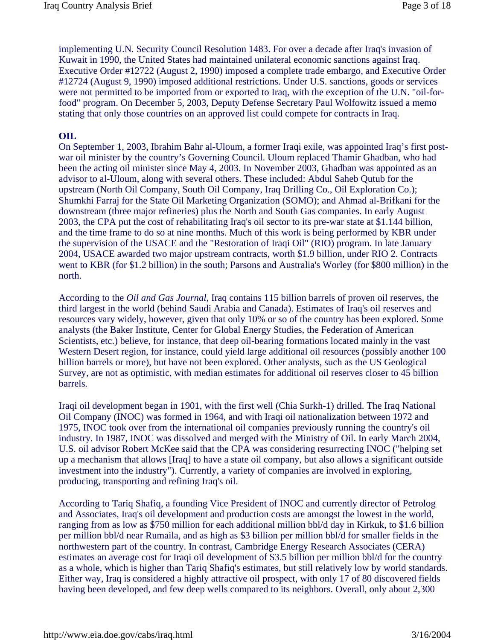implementing U.N. Security Council Resolution 1483. For over a decade after Iraq's invasion of Kuwait in 1990, the United States had maintained unilateral economic sanctions against Iraq. Executive Order #12722 (August 2, 1990) imposed a complete trade embargo, and Executive Order #12724 (August 9, 1990) imposed additional restrictions. Under U.S. sanctions, goods or services were not permitted to be imported from or exported to Iraq, with the exception of the U.N. "oil-forfood" program. On December 5, 2003, Deputy Defense Secretary Paul Wolfowitz issued a memo stating that only those countries on an approved list could compete for contracts in Iraq.

#### **OIL**

On September 1, 2003, Ibrahim Bahr al-Uloum, a former Iraqi exile, was appointed Iraq's first postwar oil minister by the country's Governing Council. Uloum replaced Thamir Ghadban, who had been the acting oil minister since May 4, 2003. In November 2003, Ghadban was appointed as an advisor to al-Uloum, along with several others. These included: Abdul Saheb Qutub for the upstream (North Oil Company, South Oil Company, Iraq Drilling Co., Oil Exploration Co.); Shumkhi Farraj for the State Oil Marketing Organization (SOMO); and Ahmad al-Brifkani for the downstream (three major refineries) plus the North and South Gas companies. In early August 2003, the CPA put the cost of rehabilitating Iraq's oil sector to its pre-war state at \$1.144 billion, and the time frame to do so at nine months. Much of this work is being performed by KBR under the supervision of the USACE and the "Restoration of Iraqi Oil" (RIO) program. In late January 2004, USACE awarded two major upstream contracts, worth \$1.9 billion, under RIO 2. Contracts went to KBR (for \$1.2 billion) in the south; Parsons and Australia's Worley (for \$800 million) in the north.

According to the *Oil and Gas Journal*, Iraq contains 115 billion barrels of proven oil reserves, the third largest in the world (behind Saudi Arabia and Canada). Estimates of Iraq's oil reserves and resources vary widely, however, given that only 10% or so of the country has been explored. Some analysts (the Baker Institute, Center for Global Energy Studies, the Federation of American Scientists, etc.) believe, for instance, that deep oil-bearing formations located mainly in the vast Western Desert region, for instance, could yield large additional oil resources (possibly another 100 billion barrels or more), but have not been explored. Other analysts, such as the US Geological Survey, are not as optimistic, with median estimates for additional oil reserves closer to 45 billion barrels.

Iraqi oil development began in 1901, with the first well (Chia Surkh-1) drilled. The Iraq National Oil Company (INOC) was formed in 1964, and with Iraqi oil nationalization between 1972 and 1975, INOC took over from the international oil companies previously running the country's oil industry. In 1987, INOC was dissolved and merged with the Ministry of Oil. In early March 2004, U.S. oil advisor Robert McKee said that the CPA was considering resurrecting INOC ("helping set up a mechanism that allows [Iraq] to have a state oil company, but also allows a significant outside investment into the industry"). Currently, a variety of companies are involved in exploring, producing, transporting and refining Iraq's oil.

According to Tariq Shafiq, a founding Vice President of INOC and currently director of Petrolog and Associates, Iraq's oil development and production costs are amongst the lowest in the world, ranging from as low as \$750 million for each additional million bbl/d day in Kirkuk, to \$1.6 billion per million bbl/d near Rumaila, and as high as \$3 billion per million bbl/d for smaller fields in the northwestern part of the country. In contrast, Cambridge Energy Research Associates (CERA) estimates an average cost for Iraqi oil development of \$3.5 billion per million bbl/d for the country as a whole, which is higher than Tariq Shafiq's estimates, but still relatively low by world standards. Either way, Iraq is considered a highly attractive oil prospect, with only 17 of 80 discovered fields having been developed, and few deep wells compared to its neighbors. Overall, only about 2,300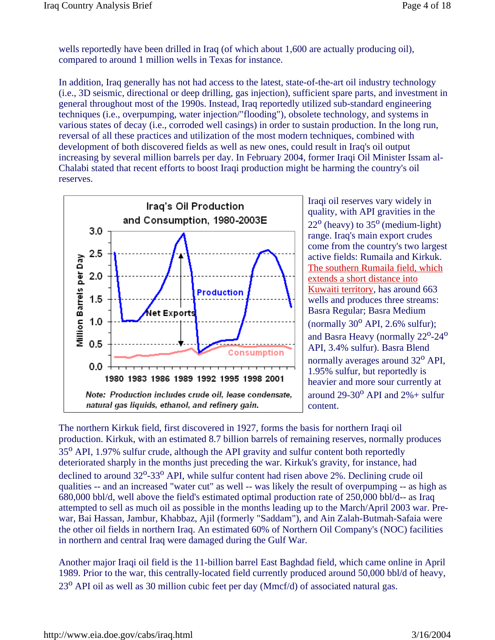wells reportedly have been drilled in Iraq (of which about 1,600 are actually producing oil), compared to around 1 million wells in Texas for instance.

In addition, Iraq generally has not had access to the latest, state-of-the-art oil industry technology (i.e., 3D seismic, directional or deep drilling, gas injection), sufficient spare parts, and investment in general throughout most of the 1990s. Instead, Iraq reportedly utilized sub-standard engineering techniques (i.e., overpumping, water injection/"flooding"), obsolete technology, and systems in various states of decay (i.e., corroded well casings) in order to sustain production. In the long run, reversal of all these practices and utilization of the most modern techniques, combined with development of both discovered fields as well as new ones, could result in Iraq's oil output increasing by several million barrels per day. In February 2004, former Iraqi Oil Minister Issam al-Chalabi stated that recent efforts to boost Iraqi production might be harming the country's oil reserves.



Iraqi oil reserves vary widely in quality, with API gravities in the  $22^{\circ}$  (heavy) to  $35^{\circ}$  (medium-light) range. Iraq's main export crudes come from the country's two largest active fields: Rumaila and Kirkuk. The southern Rumaila field, which extends a short distance into Kuwaiti territory, has around 663 wells and produces three streams: Basra Regular; Basra Medium (normally  $30^{\circ}$  API, 2.6% sulfur); and Basra Heavy (normally  $22^{\circ}$ -24 $^{\circ}$ API, 3.4% sulfur). Basra Blend normally averages around 32<sup>o</sup> API, 1.95% sulfur, but reportedly is heavier and more sour currently at around  $29-30^{\circ}$  API and  $2\%$  + sulfur content.

The northern Kirkuk field, first discovered in 1927, forms the basis for northern Iraqi oil production. Kirkuk, with an estimated 8.7 billion barrels of remaining reserves, normally produces 35<sup>o</sup> API, 1.97% sulfur crude, although the API gravity and sulfur content both reportedly deteriorated sharply in the months just preceding the war. Kirkuk's gravity, for instance, had declined to around 32<sup>o</sup>-33<sup>o</sup> API, while sulfur content had risen above 2%. Declining crude oil qualities -- and an increased "water cut" as well -- was likely the result of overpumping -- as high as 680,000 bbl/d, well above the field's estimated optimal production rate of 250,000 bbl/d-- as Iraq attempted to sell as much oil as possible in the months leading up to the March/April 2003 war. Prewar, Bai Hassan, Jambur, Khabbaz, Ajil (formerly "Saddam"), and Ain Zalah-Butmah-Safaia were the other oil fields in northern Iraq. An estimated 60% of Northern Oil Company's (NOC) facilities in northern and central Iraq were damaged during the Gulf War.

Another major Iraqi oil field is the 11-billion barrel East Baghdad field, which came online in April 1989. Prior to the war, this centrally-located field currently produced around 50,000 bbl/d of heavy,  $23<sup>o</sup>$  API oil as well as 30 million cubic feet per day (Mmcf/d) of associated natural gas.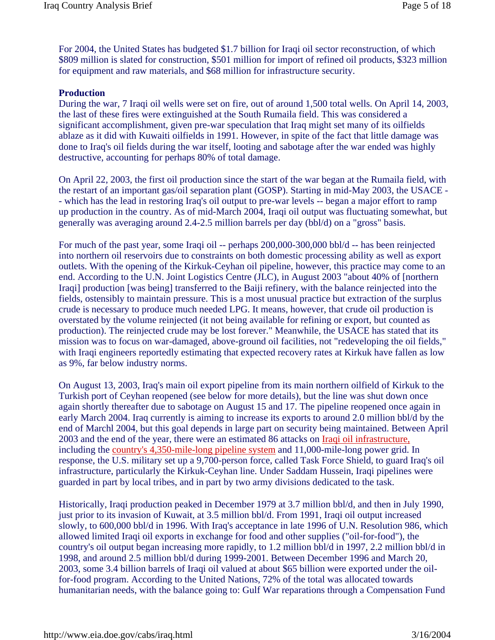For 2004, the United States has budgeted \$1.7 billion for Iraqi oil sector reconstruction, of which \$809 million is slated for construction, \$501 million for import of refined oil products, \$323 million for equipment and raw materials, and \$68 million for infrastructure security.

#### **Production**

During the war, 7 Iraqi oil wells were set on fire, out of around 1,500 total wells. On April 14, 2003, the last of these fires were extinguished at the South Rumaila field. This was considered a significant accomplishment, given pre-war speculation that Iraq might set many of its oilfields ablaze as it did with Kuwaiti oilfields in 1991. However, in spite of the fact that little damage was done to Iraq's oil fields during the war itself, looting and sabotage after the war ended was highly destructive, accounting for perhaps 80% of total damage.

On April 22, 2003, the first oil production since the start of the war began at the Rumaila field, with the restart of an important gas/oil separation plant (GOSP). Starting in mid-May 2003, the USACE - - which has the lead in restoring Iraq's oil output to pre-war levels -- began a major effort to ramp up production in the country. As of mid-March 2004, Iraqi oil output was fluctuating somewhat, but generally was averaging around 2.4-2.5 million barrels per day (bbl/d) on a "gross" basis.

For much of the past year, some Iraqi oil -- perhaps 200,000-300,000 bbl/d -- has been reinjected into northern oil reservoirs due to constraints on both domestic processing ability as well as export outlets. With the opening of the Kirkuk-Ceyhan oil pipeline, however, this practice may come to an end. According to the U.N. Joint Logistics Centre (JLC), in August 2003 "about 40% of [northern Iraqi] production [was being] transferred to the Baiji refinery, with the balance reinjected into the fields, ostensibly to maintain pressure. This is a most unusual practice but extraction of the surplus crude is necessary to produce much needed LPG. It means, however, that crude oil production is overstated by the volume reinjected (it not being available for refining or export, but counted as production). The reinjected crude may be lost forever." Meanwhile, the USACE has stated that its mission was to focus on war-damaged, above-ground oil facilities, not "redeveloping the oil fields," with Iraqi engineers reportedly estimating that expected recovery rates at Kirkuk have fallen as low as 9%, far below industry norms.

On August 13, 2003, Iraq's main oil export pipeline from its main northern oilfield of Kirkuk to the Turkish port of Ceyhan reopened (see below for more details), but the line was shut down once again shortly thereafter due to sabotage on August 15 and 17. The pipeline reopened once again in early March 2004. Iraq currently is aiming to increase its exports to around 2.0 million bbl/d by the end of Marchl 2004, but this goal depends in large part on security being maintained. Between April 2003 and the end of the year, there were an estimated 86 attacks on Iraqi oil infrastructure, including the country's 4,350-mile-long pipeline system and 11,000-mile-long power grid. In response, the U.S. military set up a 9,700-person force, called Task Force Shield, to guard Iraq's oil infrastructure, particularly the Kirkuk-Ceyhan line. Under Saddam Hussein, Iraqi pipelines were guarded in part by local tribes, and in part by two army divisions dedicated to the task.

Historically, Iraqi production peaked in December 1979 at 3.7 million bbl/d, and then in July 1990, just prior to its invasion of Kuwait, at 3.5 million bbl/d. From 1991, Iraqi oil output increased slowly, to 600,000 bbl/d in 1996. With Iraq's acceptance in late 1996 of U.N. Resolution 986, which allowed limited Iraqi oil exports in exchange for food and other supplies ("oil-for-food"), the country's oil output began increasing more rapidly, to 1.2 million bbl/d in 1997, 2.2 million bbl/d in 1998, and around 2.5 million bbl/d during 1999-2001. Between December 1996 and March 20, 2003, some 3.4 billion barrels of Iraqi oil valued at about \$65 billion were exported under the oilfor-food program. According to the United Nations, 72% of the total was allocated towards humanitarian needs, with the balance going to: Gulf War reparations through a Compensation Fund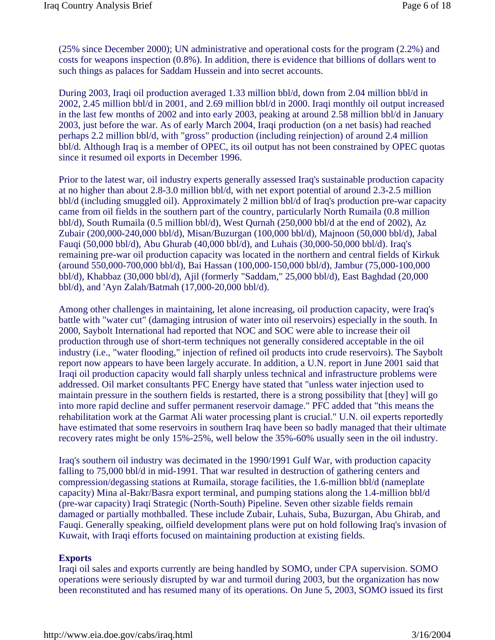(25% since December 2000); UN administrative and operational costs for the program (2.2%) and costs for weapons inspection (0.8%). In addition, there is evidence that billions of dollars went to such things as palaces for Saddam Hussein and into secret accounts.

During 2003, Iraqi oil production averaged 1.33 million bbl/d, down from 2.04 million bbl/d in 2002, 2.45 million bbl/d in 2001, and 2.69 million bbl/d in 2000. Iraqi monthly oil output increased in the last few months of 2002 and into early 2003, peaking at around 2.58 million bbl/d in January 2003, just before the war. As of early March 2004, Iraqi production (on a net basis) had reached perhaps 2.2 million bbl/d, with "gross" production (including reinjection) of around 2.4 million bbl/d. Although Iraq is a member of OPEC, its oil output has not been constrained by OPEC quotas since it resumed oil exports in December 1996.

Prior to the latest war, oil industry experts generally assessed Iraq's sustainable production capacity at no higher than about 2.8-3.0 million bbl/d, with net export potential of around 2.3-2.5 million bbl/d (including smuggled oil). Approximately 2 million bbl/d of Iraq's production pre-war capacity came from oil fields in the southern part of the country, particularly North Rumaila (0.8 million bbl/d), South Rumaila (0.5 million bbl/d), West Qurnah (250,000 bbl/d at the end of 2002), Az Zubair (200,000-240,000 bbl/d), Misan/Buzurgan (100,000 bbl/d), Majnoon (50,000 bbl/d), Jabal Fauqi (50,000 bbl/d), Abu Ghurab (40,000 bbl/d), and Luhais (30,000-50,000 bbl/d). Iraq's remaining pre-war oil production capacity was located in the northern and central fields of Kirkuk (around 550,000-700,000 bbl/d), Bai Hassan (100,000-150,000 bbl/d), Jambur (75,000-100,000 bbl/d), Khabbaz (30,000 bbl/d), Ajil (formerly "Saddam," 25,000 bbl/d), East Baghdad (20,000 bbl/d), and 'Ayn Zalah/Batmah (17,000-20,000 bbl/d).

Among other challenges in maintaining, let alone increasing, oil production capacity, were Iraq's battle with "water cut" (damaging intrusion of water into oil reservoirs) especially in the south. In 2000, Saybolt International had reported that NOC and SOC were able to increase their oil production through use of short-term techniques not generally considered acceptable in the oil industry (i.e., "water flooding," injection of refined oil products into crude reservoirs). The Saybolt report now appears to have been largely accurate. In addition, a U.N. report in June 2001 said that Iraqi oil production capacity would fall sharply unless technical and infrastructure problems were addressed. Oil market consultants PFC Energy have stated that "unless water injection used to maintain pressure in the southern fields is restarted, there is a strong possibility that [they] will go into more rapid decline and suffer permanent reservoir damage." PFC added that "this means the rehabilitation work at the Garmat Ali water processing plant is crucial." U.N. oil experts reportedly have estimated that some reservoirs in southern Iraq have been so badly managed that their ultimate recovery rates might be only 15%-25%, well below the 35%-60% usually seen in the oil industry.

Iraq's southern oil industry was decimated in the 1990/1991 Gulf War, with production capacity falling to 75,000 bbl/d in mid-1991. That war resulted in destruction of gathering centers and compression/degassing stations at Rumaila, storage facilities, the 1.6-million bbl/d (nameplate capacity) Mina al-Bakr/Basra export terminal, and pumping stations along the 1.4-million bbl/d (pre-war capacity) Iraqi Strategic (North-South) Pipeline. Seven other sizable fields remain damaged or partially mothballed. These include Zubair, Luhais, Suba, Buzurgan, Abu Ghirab, and Fauqi. Generally speaking, oilfield development plans were put on hold following Iraq's invasion of Kuwait, with Iraqi efforts focused on maintaining production at existing fields.

#### **Exports**

Iraqi oil sales and exports currently are being handled by SOMO, under CPA supervision. SOMO operations were seriously disrupted by war and turmoil during 2003, but the organization has now been reconstituted and has resumed many of its operations. On June 5, 2003, SOMO issued its first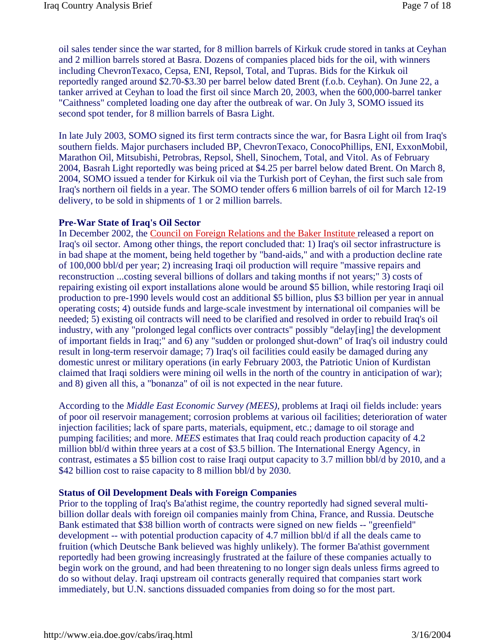oil sales tender since the war started, for 8 million barrels of Kirkuk crude stored in tanks at Ceyhan and 2 million barrels stored at Basra. Dozens of companies placed bids for the oil, with winners including ChevronTexaco, Cepsa, ENI, Repsol, Total, and Tupras. Bids for the Kirkuk oil reportedly ranged around \$2.70-\$3.30 per barrel below dated Brent (f.o.b. Ceyhan). On June 22, a tanker arrived at Ceyhan to load the first oil since March 20, 2003, when the 600,000-barrel tanker "Caithness" completed loading one day after the outbreak of war. On July 3, SOMO issued its second spot tender, for 8 million barrels of Basra Light.

In late July 2003, SOMO signed its first term contracts since the war, for Basra Light oil from Iraq's southern fields. Major purchasers included BP, ChevronTexaco, ConocoPhillips, ENI, ExxonMobil, Marathon Oil, Mitsubishi, Petrobras, Repsol, Shell, Sinochem, Total, and Vitol. As of February 2004, Basrah Light reportedly was being priced at \$4.25 per barrel below dated Brent. On March 8, 2004, SOMO issued a tender for Kirkuk oil via the Turkish port of Ceyhan, the first such sale from Iraq's northern oil fields in a year. The SOMO tender offers 6 million barrels of oil for March 12-19 delivery, to be sold in shipments of 1 or 2 million barrels.

## **Pre-War State of Iraq's Oil Sector**

In December 2002, the Council on Foreign Relations and the Baker Institute released a report on Iraq's oil sector. Among other things, the report concluded that: 1) Iraq's oil sector infrastructure is in bad shape at the moment, being held together by "band-aids," and with a production decline rate of 100,000 bbl/d per year; 2) increasing Iraqi oil production will require "massive repairs and reconstruction ...costing several billions of dollars and taking months if not years;" 3) costs of repairing existing oil export installations alone would be around \$5 billion, while restoring Iraqi oil production to pre-1990 levels would cost an additional \$5 billion, plus \$3 billion per year in annual operating costs; 4) outside funds and large-scale investment by international oil companies will be needed; 5) existing oil contracts will need to be clarified and resolved in order to rebuild Iraq's oil industry, with any "prolonged legal conflicts over contracts" possibly "delay[ing] the development of important fields in Iraq;" and 6) any "sudden or prolonged shut-down" of Iraq's oil industry could result in long-term reservoir damage; 7) Iraq's oil facilities could easily be damaged during any domestic unrest or military operations (in early February 2003, the Patriotic Union of Kurdistan claimed that Iraqi soldiers were mining oil wells in the north of the country in anticipation of war); and 8) given all this, a "bonanza" of oil is not expected in the near future.

According to the *Middle East Economic Survey (MEES)*, problems at Iraqi oil fields include: years of poor oil reservoir management; corrosion problems at various oil facilities; deterioration of water injection facilities; lack of spare parts, materials, equipment, etc.; damage to oil storage and pumping facilities; and more. *MEES* estimates that Iraq could reach production capacity of 4.2 million bbl/d within three years at a cost of \$3.5 billion. The International Energy Agency, in contrast, estimates a \$5 billion cost to raise Iraqi output capacity to 3.7 million bbl/d by 2010, and a \$42 billion cost to raise capacity to 8 million bbl/d by 2030.

## **Status of Oil Development Deals with Foreign Companies**

Prior to the toppling of Iraq's Ba'athist regime, the country reportedly had signed several multibillion dollar deals with foreign oil companies mainly from China, France, and Russia. Deutsche Bank estimated that \$38 billion worth of contracts were signed on new fields -- "greenfield" development -- with potential production capacity of 4.7 million bbl/d if all the deals came to fruition (which Deutsche Bank believed was highly unlikely). The former Ba'athist government reportedly had been growing increasingly frustrated at the failure of these companies actually to begin work on the ground, and had been threatening to no longer sign deals unless firms agreed to do so without delay. Iraqi upstream oil contracts generally required that companies start work immediately, but U.N. sanctions dissuaded companies from doing so for the most part.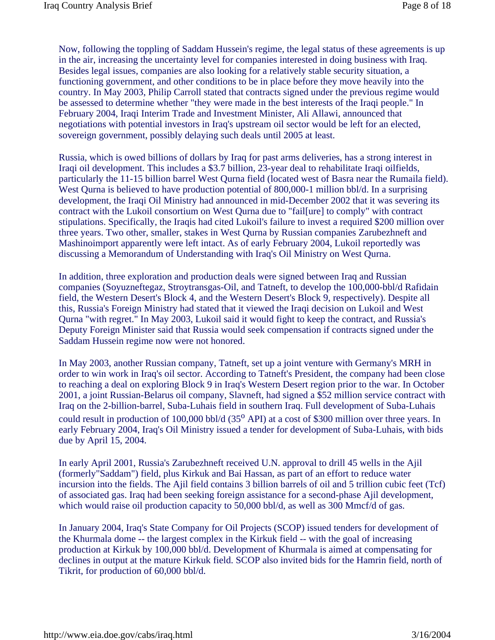Now, following the toppling of Saddam Hussein's regime, the legal status of these agreements is up in the air, increasing the uncertainty level for companies interested in doing business with Iraq. Besides legal issues, companies are also looking for a relatively stable security situation, a functioning government, and other conditions to be in place before they move heavily into the country. In May 2003, Philip Carroll stated that contracts signed under the previous regime would be assessed to determine whether "they were made in the best interests of the Iraqi people." In February 2004, Iraqi Interim Trade and Investment Minister, Ali Allawi, announced that negotiations with potential investors in Iraq's upstream oil sector would be left for an elected, sovereign government, possibly delaying such deals until 2005 at least.

Russia, which is owed billions of dollars by Iraq for past arms deliveries, has a strong interest in Iraqi oil development. This includes a \$3.7 billion, 23-year deal to rehabilitate Iraqi oilfields, particularly the 11-15 billion barrel West Qurna field (located west of Basra near the Rumaila field). West Qurna is believed to have production potential of 800,000-1 million bbl/d. In a surprising development, the Iraqi Oil Ministry had announced in mid-December 2002 that it was severing its contract with the Lukoil consortium on West Qurna due to "fail[ure] to comply" with contract stipulations. Specifically, the Iraqis had cited Lukoil's failure to invest a required \$200 million over three years. Two other, smaller, stakes in West Qurna by Russian companies Zarubezhneft and Mashinoimport apparently were left intact. As of early February 2004, Lukoil reportedly was discussing a Memorandum of Understanding with Iraq's Oil Ministry on West Qurna.

In addition, three exploration and production deals were signed between Iraq and Russian companies (Soyuzneftegaz, Stroytransgas-Oil, and Tatneft, to develop the 100,000-bbl/d Rafidain field, the Western Desert's Block 4, and the Western Desert's Block 9, respectively). Despite all this, Russia's Foreign Ministry had stated that it viewed the Iraqi decision on Lukoil and West Qurna "with regret." In May 2003, Lukoil said it would fight to keep the contract, and Russia's Deputy Foreign Minister said that Russia would seek compensation if contracts signed under the Saddam Hussein regime now were not honored.

In May 2003, another Russian company, Tatneft, set up a joint venture with Germany's MRH in order to win work in Iraq's oil sector. According to Tatneft's President, the company had been close to reaching a deal on exploring Block 9 in Iraq's Western Desert region prior to the war. In October 2001, a joint Russian-Belarus oil company, Slavneft, had signed a \$52 million service contract with Iraq on the 2-billion-barrel, Suba-Luhais field in southern Iraq. Full development of Suba-Luhais could result in production of 100,000 bbl/d (35<sup>o</sup> API) at a cost of \$300 million over three years. In early February 2004, Iraq's Oil Ministry issued a tender for development of Suba-Luhais, with bids due by April 15, 2004.

In early April 2001, Russia's Zarubezhneft received U.N. approval to drill 45 wells in the Ajil (formerly"Saddam") field, plus Kirkuk and Bai Hassan, as part of an effort to reduce water incursion into the fields. The Ajil field contains 3 billion barrels of oil and 5 trillion cubic feet (Tcf) of associated gas. Iraq had been seeking foreign assistance for a second-phase Ajil development, which would raise oil production capacity to 50,000 bbl/d, as well as 300 Mmcf/d of gas.

In January 2004, Iraq's State Company for Oil Projects (SCOP) issued tenders for development of the Khurmala dome -- the largest complex in the Kirkuk field -- with the goal of increasing production at Kirkuk by 100,000 bbl/d. Development of Khurmala is aimed at compensating for declines in output at the mature Kirkuk field. SCOP also invited bids for the Hamrin field, north of Tikrit, for production of 60,000 bbl/d.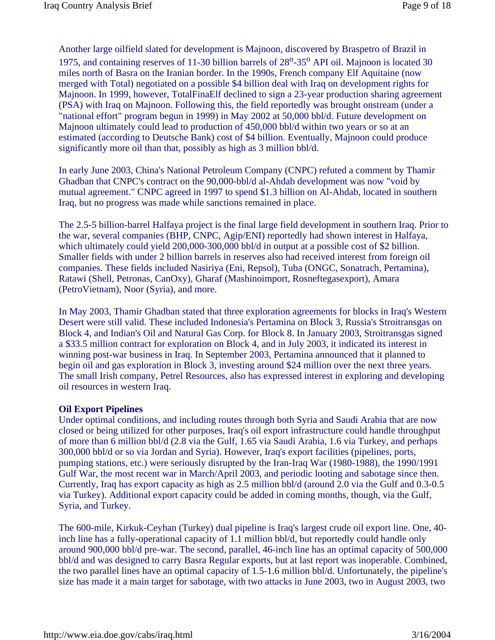Another large oilfield slated for development is Majnoon, discovered by Braspetro of Brazil in 1975, and containing reserves of 11-30 billion barrels of  $28^{\circ}$ -35<sup>o</sup> API oil. Majnoon is located 30 miles north of Basra on the Iranian border. In the 1990s, French company Elf Aquitaine (now merged with Total) negotiated on a possible \$4 billion deal with Iraq on development rights for Majnoon. In 1999, however, TotalFinaElf declined to sign a 23-year production sharing agreement (PSA) with Iraq on Majnoon. Following this, the field reportedly was brought onstream (under a "national effort" program begun in 1999) in May 2002 at 50,000 bbl/d. Future development on Majnoon ultimately could lead to production of 450,000 bbl/d within two years or so at an estimated (according to Deutsche Bank) cost of \$4 billion. Eventually, Majnoon could produce significantly more oil than that, possibly as high as 3 million bbl/d.

In early June 2003, China's National Petroleum Company (CNPC) refuted a comment by Thamir Ghadban that CNPC's contract on the 90,000-bbl/d al-Ahdab development was now "void by mutual agreement." CNPC agreed in 1997 to spend \$1.3 billion on Al-Ahdab, located in southern Iraq, but no progress was made while sanctions remained in place.

The 2.5-5 billion-barrel Halfaya project is the final large field development in southern Iraq. Prior to the war, several companies (BHP, CNPC, Agip/ENI) reportedly had shown interest in Halfaya, which ultimately could yield 200,000-300,000 bbl/d in output at a possible cost of \$2 billion. Smaller fields with under 2 billion barrels in reserves also had received interest from foreign oil companies. These fields included Nasiriya (Eni, Repsol), Tuba (ONGC, Sonatrach, Pertamina), Ratawi (Shell, Petronas, CanOxy), Gharaf (Mashinoimport, Rosneftegasexport), Amara (PetroVietnam), Noor (Syria), and more.

In May 2003, Thamir Ghadban stated that three exploration agreements for blocks in Iraq's Western Desert were still valid. These included Indonesia's Pertamina on Block 3, Russia's Stroitransgas on Block 4, and Indian's Oil and Natural Gas Corp. for Block 8. In January 2003, Stroitransgas signed a \$33.5 million contract for exploration on Block 4, and in July 2003, it indicated its interest in winning post-war business in Iraq. In September 2003, Pertamina announced that it planned to begin oil and gas exploration in Block 3, investing around \$24 million over the next three years. The small Irish company, Petrel Resources, also has expressed interest in exploring and developing oil resources in western Iraq.

## **Oil Export Pipelines**

Under optimal conditions, and including routes through both Syria and Saudi Arabia that are now closed or being utilized for other purposes, Iraq's oil export infrastructure could handle throughput of more than 6 million bbl/d (2.8 via the Gulf, 1.65 via Saudi Arabia, 1.6 via Turkey, and perhaps 300,000 bbl/d or so via Jordan and Syria). However, Iraq's export facilities (pipelines, ports, pumping stations, etc.) were seriously disrupted by the Iran-Iraq War (1980-1988), the 1990/1991 Gulf War, the most recent war in March/April 2003, and periodic looting and sabotage since then. Currently, Iraq has export capacity as high as 2.5 million bbl/d (around 2.0 via the Gulf and 0.3-0.5 via Turkey). Additional export capacity could be added in coming months, though, via the Gulf, Syria, and Turkey.

The 600-mile, Kirkuk-Ceyhan (Turkey) dual pipeline is Iraq's largest crude oil export line. One, 40 inch line has a fully-operational capacity of 1.1 million bbl/d, but reportedly could handle only around 900,000 bbl/d pre-war. The second, parallel, 46-inch line has an optimal capacity of 500,000 bbl/d and was designed to carry Basra Regular exports, but at last report was inoperable. Combined, the two parallel lines have an optimal capacity of 1.5-1.6 million bbl/d. Unfortunately, the pipeline's size has made it a main target for sabotage, with two attacks in June 2003, two in August 2003, two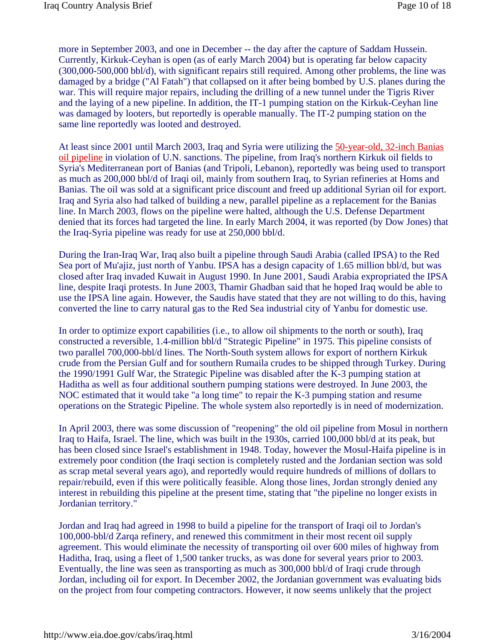more in September 2003, and one in December -- the day after the capture of Saddam Hussein. Currently, Kirkuk-Ceyhan is open (as of early March 2004) but is operating far below capacity (300,000-500,000 bbl/d), with significant repairs still required. Among other problems, the line was damaged by a bridge ("Al Fatah") that collapsed on it after being bombed by U.S. planes during the war. This will require major repairs, including the drilling of a new tunnel under the Tigris River and the laying of a new pipeline. In addition, the IT-1 pumping station on the Kirkuk-Ceyhan line was damaged by looters, but reportedly is operable manually. The IT-2 pumping station on the same line reportedly was looted and destroyed.

At least since 2001 until March 2003, Iraq and Syria were utilizing the 50-year-old, 32-inch Banias oil pipeline in violation of U.N. sanctions. The pipeline, from Iraq's northern Kirkuk oil fields to Syria's Mediterranean port of Banias (and Tripoli, Lebanon), reportedly was being used to transport as much as 200,000 bbl/d of Iraqi oil, mainly from southern Iraq, to Syrian refineries at Homs and Banias. The oil was sold at a significant price discount and freed up additional Syrian oil for export. Iraq and Syria also had talked of building a new, parallel pipeline as a replacement for the Banias line. In March 2003, flows on the pipeline were halted, although the U.S. Defense Department denied that its forces had targeted the line. In early March 2004, it was reported (by Dow Jones) that the Iraq-Syria pipeline was ready for use at 250,000 bbl/d.

During the Iran-Iraq War, Iraq also built a pipeline through Saudi Arabia (called IPSA) to the Red Sea port of Mu'ajiz, just north of Yanbu. IPSA has a design capacity of 1.65 million bbl/d, but was closed after Iraq invaded Kuwait in August 1990. In June 2001, Saudi Arabia expropriated the IPSA line, despite Iraqi protests. In June 2003, Thamir Ghadban said that he hoped Iraq would be able to use the IPSA line again. However, the Saudis have stated that they are not willing to do this, having converted the line to carry natural gas to the Red Sea industrial city of Yanbu for domestic use.

In order to optimize export capabilities (i.e., to allow oil shipments to the north or south), Iraq constructed a reversible, 1.4-million bbl/d "Strategic Pipeline" in 1975. This pipeline consists of two parallel 700,000-bbl/d lines. The North-South system allows for export of northern Kirkuk crude from the Persian Gulf and for southern Rumaila crudes to be shipped through Turkey. During the 1990/1991 Gulf War, the Strategic Pipeline was disabled after the K-3 pumping station at Haditha as well as four additional southern pumping stations were destroyed. In June 2003, the NOC estimated that it would take "a long time" to repair the K-3 pumping station and resume operations on the Strategic Pipeline. The whole system also reportedly is in need of modernization.

In April 2003, there was some discussion of "reopening" the old oil pipeline from Mosul in northern Iraq to Haifa, Israel. The line, which was built in the 1930s, carried 100,000 bbl/d at its peak, but has been closed since Israel's establishment in 1948. Today, however the Mosul-Haifa pipeline is in extremely poor condition (the Iraqi section is completely rusted and the Jordanian section was sold as scrap metal several years ago), and reportedly would require hundreds of millions of dollars to repair/rebuild, even if this were politically feasible. Along those lines, Jordan strongly denied any interest in rebuilding this pipeline at the present time, stating that "the pipeline no longer exists in Jordanian territory."

Jordan and Iraq had agreed in 1998 to build a pipeline for the transport of Iraqi oil to Jordan's 100,000-bbl/d Zarqa refinery, and renewed this commitment in their most recent oil supply agreement. This would eliminate the necessity of transporting oil over 600 miles of highway from Haditha, Iraq, using a fleet of 1,500 tanker trucks, as was done for several years prior to 2003. Eventually, the line was seen as transporting as much as 300,000 bbl/d of Iraqi crude through Jordan, including oil for export. In December 2002, the Jordanian government was evaluating bids on the project from four competing contractors. However, it now seems unlikely that the project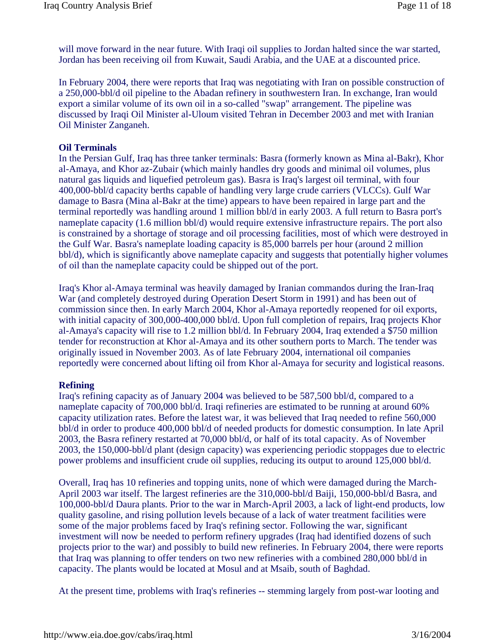will move forward in the near future. With Iraqi oil supplies to Jordan halted since the war started, Jordan has been receiving oil from Kuwait, Saudi Arabia, and the UAE at a discounted price.

In February 2004, there were reports that Iraq was negotiating with Iran on possible construction of a 250,000-bbl/d oil pipeline to the Abadan refinery in southwestern Iran. In exchange, Iran would export a similar volume of its own oil in a so-called "swap" arrangement. The pipeline was discussed by Iraqi Oil Minister al-Uloum visited Tehran in December 2003 and met with Iranian Oil Minister Zanganeh.

#### **Oil Terminals**

In the Persian Gulf, Iraq has three tanker terminals: Basra (formerly known as Mina al-Bakr), Khor al-Amaya, and Khor az-Zubair (which mainly handles dry goods and minimal oil volumes, plus natural gas liquids and liquefied petroleum gas). Basra is Iraq's largest oil terminal, with four 400,000-bbl/d capacity berths capable of handling very large crude carriers (VLCCs). Gulf War damage to Basra (Mina al-Bakr at the time) appears to have been repaired in large part and the terminal reportedly was handling around 1 million bbl/d in early 2003. A full return to Basra port's nameplate capacity (1.6 million bbl/d) would require extensive infrastructure repairs. The port also is constrained by a shortage of storage and oil processing facilities, most of which were destroyed in the Gulf War. Basra's nameplate loading capacity is 85,000 barrels per hour (around 2 million bbl/d), which is significantly above nameplate capacity and suggests that potentially higher volumes of oil than the nameplate capacity could be shipped out of the port.

Iraq's Khor al-Amaya terminal was heavily damaged by Iranian commandos during the Iran-Iraq War (and completely destroyed during Operation Desert Storm in 1991) and has been out of commission since then. In early March 2004, Khor al-Amaya reportedly reopened for oil exports, with initial capacity of 300,000-400,000 bbl/d. Upon full completion of repairs, Iraq projects Khor al-Amaya's capacity will rise to 1.2 million bbl/d. In February 2004, Iraq extended a \$750 million tender for reconstruction at Khor al-Amaya and its other southern ports to March. The tender was originally issued in November 2003. As of late February 2004, international oil companies reportedly were concerned about lifting oil from Khor al-Amaya for security and logistical reasons.

## **Refining**

Iraq's refining capacity as of January 2004 was believed to be 587,500 bbl/d, compared to a nameplate capacity of 700,000 bbl/d. Iraqi refineries are estimated to be running at around 60% capacity utilization rates. Before the latest war, it was believed that Iraq needed to refine 560,000 bbl/d in order to produce 400,000 bbl/d of needed products for domestic consumption. In late April 2003, the Basra refinery restarted at 70,000 bbl/d, or half of its total capacity. As of November 2003, the 150,000-bbl/d plant (design capacity) was experiencing periodic stoppages due to electric power problems and insufficient crude oil supplies, reducing its output to around 125,000 bbl/d.

Overall, Iraq has 10 refineries and topping units, none of which were damaged during the March-April 2003 war itself. The largest refineries are the 310,000-bbl/d Baiji, 150,000-bbl/d Basra, and 100,000-bbl/d Daura plants. Prior to the war in March-April 2003, a lack of light-end products, low quality gasoline, and rising pollution levels because of a lack of water treatment facilities were some of the major problems faced by Iraq's refining sector. Following the war, significant investment will now be needed to perform refinery upgrades (Iraq had identified dozens of such projects prior to the war) and possibly to build new refineries. In February 2004, there were reports that Iraq was planning to offer tenders on two new refineries with a combined 280,000 bbl/d in capacity. The plants would be located at Mosul and at Msaib, south of Baghdad.

At the present time, problems with Iraq's refineries -- stemming largely from post-war looting and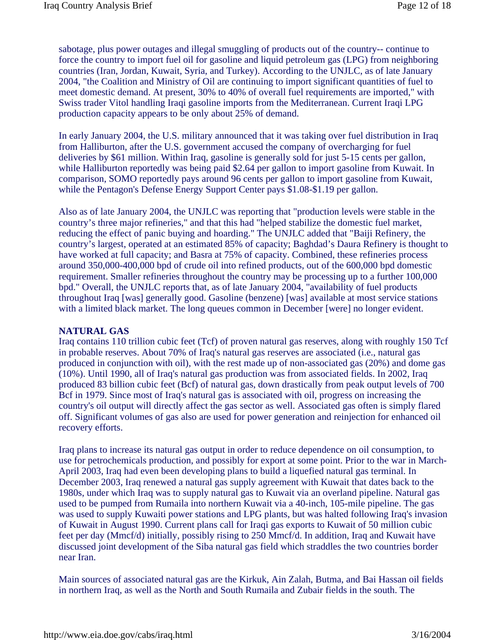sabotage, plus power outages and illegal smuggling of products out of the country-- continue to force the country to import fuel oil for gasoline and liquid petroleum gas (LPG) from neighboring countries (Iran, Jordan, Kuwait, Syria, and Turkey). According to the UNJLC, as of late January 2004, "the Coalition and Ministry of Oil are continuing to import significant quantities of fuel to meet domestic demand. At present, 30% to 40% of overall fuel requirements are imported," with Swiss trader Vitol handling Iraqi gasoline imports from the Mediterranean. Current Iraqi LPG production capacity appears to be only about 25% of demand.

In early January 2004, the U.S. military announced that it was taking over fuel distribution in Iraq from Halliburton, after the U.S. government accused the company of overcharging for fuel deliveries by \$61 million. Within Iraq, gasoline is generally sold for just 5-15 cents per gallon, while Halliburton reportedly was being paid \$2.64 per gallon to import gasoline from Kuwait. In comparison, SOMO reportedly pays around 96 cents per gallon to import gasoline from Kuwait, while the Pentagon's Defense Energy Support Center pays \$1.08-\$1.19 per gallon.

Also as of late January 2004, the UNJLC was reporting that "production levels were stable in the country's three major refineries," and that this had "helped stabilize the domestic fuel market, reducing the effect of panic buying and hoarding." The UNJLC added that "Baiji Refinery, the country's largest, operated at an estimated 85% of capacity; Baghdad's Daura Refinery is thought to have worked at full capacity; and Basra at 75% of capacity. Combined, these refineries process around 350,000-400,000 bpd of crude oil into refined products, out of the 600,000 bpd domestic requirement. Smaller refineries throughout the country may be processing up to a further 100,000 bpd." Overall, the UNJLC reports that, as of late January 2004, "availability of fuel products throughout Iraq [was] generally good. Gasoline (benzene) [was] available at most service stations with a limited black market. The long queues common in December [were] no longer evident.

## **NATURAL GAS**

Iraq contains 110 trillion cubic feet (Tcf) of proven natural gas reserves, along with roughly 150 Tcf in probable reserves. About 70% of Iraq's natural gas reserves are associated (i.e., natural gas produced in conjunction with oil), with the rest made up of non-associated gas (20%) and dome gas (10%). Until 1990, all of Iraq's natural gas production was from associated fields. In 2002, Iraq produced 83 billion cubic feet (Bcf) of natural gas, down drastically from peak output levels of 700 Bcf in 1979. Since most of Iraq's natural gas is associated with oil, progress on increasing the country's oil output will directly affect the gas sector as well. Associated gas often is simply flared off. Significant volumes of gas also are used for power generation and reinjection for enhanced oil recovery efforts.

Iraq plans to increase its natural gas output in order to reduce dependence on oil consumption, to use for petrochemicals production, and possibly for export at some point. Prior to the war in March-April 2003, Iraq had even been developing plans to build a liquefied natural gas terminal. In December 2003, Iraq renewed a natural gas supply agreement with Kuwait that dates back to the 1980s, under which Iraq was to supply natural gas to Kuwait via an overland pipeline. Natural gas used to be pumped from Rumaila into northern Kuwait via a 40-inch, 105-mile pipeline. The gas was used to supply Kuwaiti power stations and LPG plants, but was halted following Iraq's invasion of Kuwait in August 1990. Current plans call for Iraqi gas exports to Kuwait of 50 million cubic feet per day (Mmcf/d) initially, possibly rising to 250 Mmcf/d. In addition, Iraq and Kuwait have discussed joint development of the Siba natural gas field which straddles the two countries border near Iran.

Main sources of associated natural gas are the Kirkuk, Ain Zalah, Butma, and Bai Hassan oil fields in northern Iraq, as well as the North and South Rumaila and Zubair fields in the south. The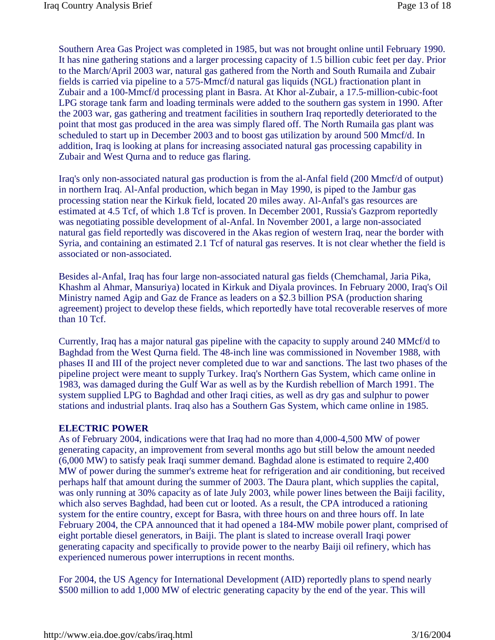Southern Area Gas Project was completed in 1985, but was not brought online until February 1990. It has nine gathering stations and a larger processing capacity of 1.5 billion cubic feet per day. Prior to the March/April 2003 war, natural gas gathered from the North and South Rumaila and Zubair fields is carried via pipeline to a 575-Mmcf/d natural gas liquids (NGL) fractionation plant in Zubair and a 100-Mmcf/d processing plant in Basra. At Khor al-Zubair, a 17.5-million-cubic-foot LPG storage tank farm and loading terminals were added to the southern gas system in 1990. After the 2003 war, gas gathering and treatment facilities in southern Iraq reportedly deteriorated to the point that most gas produced in the area was simply flared off. The North Rumaila gas plant was scheduled to start up in December 2003 and to boost gas utilization by around 500 Mmcf/d. In addition, Iraq is looking at plans for increasing associated natural gas processing capability in Zubair and West Qurna and to reduce gas flaring.

Iraq's only non-associated natural gas production is from the al-Anfal field (200 Mmcf/d of output) in northern Iraq. Al-Anfal production, which began in May 1990, is piped to the Jambur gas processing station near the Kirkuk field, located 20 miles away. Al-Anfal's gas resources are estimated at 4.5 Tcf, of which 1.8 Tcf is proven. In December 2001, Russia's Gazprom reportedly was negotiating possible development of al-Anfal. In November 2001, a large non-associated natural gas field reportedly was discovered in the Akas region of western Iraq, near the border with Syria, and containing an estimated 2.1 Tcf of natural gas reserves. It is not clear whether the field is associated or non-associated.

Besides al-Anfal, Iraq has four large non-associated natural gas fields (Chemchamal, Jaria Pika, Khashm al Ahmar, Mansuriya) located in Kirkuk and Diyala provinces. In February 2000, Iraq's Oil Ministry named Agip and Gaz de France as leaders on a \$2.3 billion PSA (production sharing agreement) project to develop these fields, which reportedly have total recoverable reserves of more than 10 Tcf.

Currently, Iraq has a major natural gas pipeline with the capacity to supply around 240 MMcf/d to Baghdad from the West Qurna field. The 48-inch line was commissioned in November 1988, with phases II and III of the project never completed due to war and sanctions. The last two phases of the pipeline project were meant to supply Turkey. Iraq's Northern Gas System, which came online in 1983, was damaged during the Gulf War as well as by the Kurdish rebellion of March 1991. The system supplied LPG to Baghdad and other Iraqi cities, as well as dry gas and sulphur to power stations and industrial plants. Iraq also has a Southern Gas System, which came online in 1985.

#### **ELECTRIC POWER**

As of February 2004, indications were that Iraq had no more than 4,000-4,500 MW of power generating capacity, an improvement from several months ago but still below the amount needed (6,000 MW) to satisfy peak Iraqi summer demand. Baghdad alone is estimated to require 2,400 MW of power during the summer's extreme heat for refrigeration and air conditioning, but received perhaps half that amount during the summer of 2003. The Daura plant, which supplies the capital, was only running at 30% capacity as of late July 2003, while power lines between the Baiji facility, which also serves Baghdad, had been cut or looted. As a result, the CPA introduced a rationing system for the entire country, except for Basra, with three hours on and three hours off. In late February 2004, the CPA announced that it had opened a 184-MW mobile power plant, comprised of eight portable diesel generators, in Baiji. The plant is slated to increase overall Iraqi power generating capacity and specifically to provide power to the nearby Baiji oil refinery, which has experienced numerous power interruptions in recent months.

For 2004, the US Agency for International Development (AID) reportedly plans to spend nearly \$500 million to add 1,000 MW of electric generating capacity by the end of the year. This will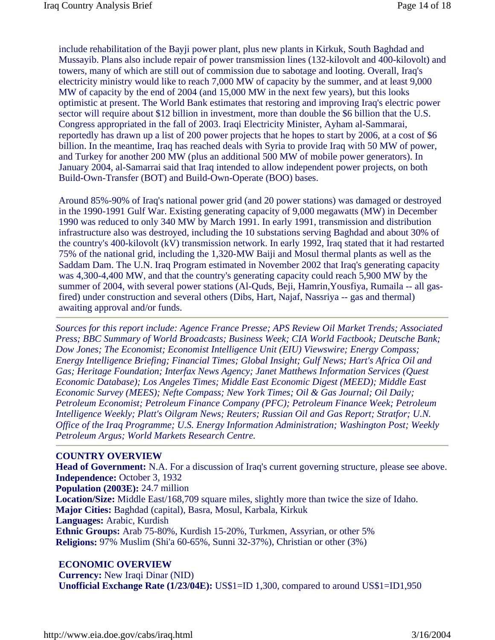include rehabilitation of the Bayji power plant, plus new plants in Kirkuk, South Baghdad and Mussayib. Plans also include repair of power transmission lines (132-kilovolt and 400-kilovolt) and towers, many of which are still out of commission due to sabotage and looting. Overall, Iraq's electricity ministry would like to reach 7,000 MW of capacity by the summer, and at least 9,000 MW of capacity by the end of 2004 (and 15,000 MW in the next few years), but this looks optimistic at present. The World Bank estimates that restoring and improving Iraq's electric power sector will require about \$12 billion in investment, more than double the \$6 billion that the U.S. Congress appropriated in the fall of 2003. Iraqi Electricity Minister, Ayham al-Sammarai, reportedly has drawn up a list of 200 power projects that he hopes to start by 2006, at a cost of \$6 billion. In the meantime, Iraq has reached deals with Syria to provide Iraq with 50 MW of power, and Turkey for another 200 MW (plus an additional 500 MW of mobile power generators). In January 2004, al-Samarrai said that Iraq intended to allow independent power projects, on both Build-Own-Transfer (BOT) and Build-Own-Operate (BOO) bases.

Around 85%-90% of Iraq's national power grid (and 20 power stations) was damaged or destroyed in the 1990-1991 Gulf War. Existing generating capacity of 9,000 megawatts (MW) in December 1990 was reduced to only 340 MW by March 1991. In early 1991, transmission and distribution infrastructure also was destroyed, including the 10 substations serving Baghdad and about 30% of the country's 400-kilovolt (kV) transmission network. In early 1992, Iraq stated that it had restarted 75% of the national grid, including the 1,320-MW Baiji and Mosul thermal plants as well as the Saddam Dam. The U.N. Iraq Program estimated in November 2002 that Iraq's generating capacity was 4,300-4,400 MW, and that the country's generating capacity could reach 5,900 MW by the summer of 2004, with several power stations (Al-Quds, Beji, Hamrin,Yousfiya, Rumaila -- all gasfired) under construction and several others (Dibs, Hart, Najaf, Nassriya -- gas and thermal) awaiting approval and/or funds.

*Sources for this report include: Agence France Presse; APS Review Oil Market Trends; Associated Press; BBC Summary of World Broadcasts; Business Week; CIA World Factbook; Deutsche Bank; Dow Jones; The Economist; Economist Intelligence Unit (EIU) Viewswire; Energy Compass; Energy Intelligence Briefing; Financial Times; Global Insight; Gulf News; Hart's Africa Oil and Gas; Heritage Foundation; Interfax News Agency; Janet Matthews Information Services (Quest Economic Database); Los Angeles Times; Middle East Economic Digest (MEED); Middle East Economic Survey (MEES); Nefte Compass; New York Times; Oil & Gas Journal; Oil Daily; Petroleum Economist; Petroleum Finance Company (PFC); Petroleum Finance Week; Petroleum Intelligence Weekly; Platt's Oilgram News; Reuters; Russian Oil and Gas Report; Stratfor; U.N. Office of the Iraq Programme; U.S. Energy Information Administration; Washington Post; Weekly Petroleum Argus; World Markets Research Centre.*

## **COUNTRY OVERVIEW**

**Head of Government:** N.A. For a discussion of Iraq's current governing structure, please see above. **Independence:** October 3, 1932 **Population (2003E):** 24.7 million **Location/Size:** Middle East/168,709 square miles, slightly more than twice the size of Idaho. **Major Cities:** Baghdad (capital), Basra, Mosul, Karbala, Kirkuk **Languages:** Arabic, Kurdish **Ethnic Groups:** Arab 75-80%, Kurdish 15-20%, Turkmen, Assyrian, or other 5% **Religions:** 97% Muslim (Shi'a 60-65%, Sunni 32-37%), Christian or other (3%)

# **ECONOMIC OVERVIEW**

**Currency:** New Iraqi Dinar (NID)

**Unofficial Exchange Rate (1/23/04E):** US\$1=ID 1,300, compared to around US\$1=ID1,950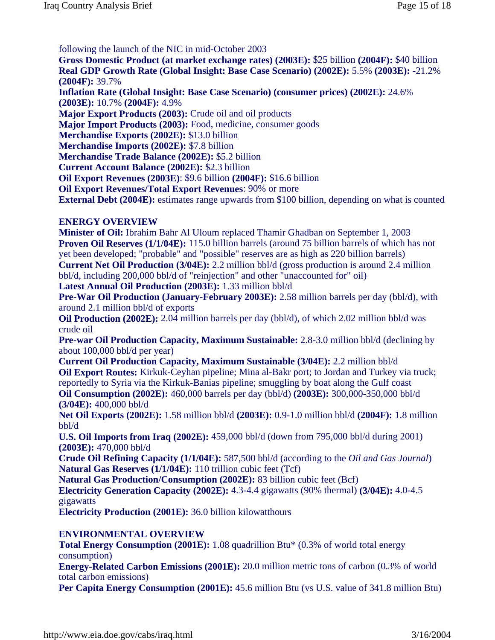following the launch of the NIC in mid-October 2003

**Gross Domestic Product (at market exchange rates) (2003E):** \$25 billion **(2004F):** \$40 billion **Real GDP Growth Rate (Global Insight: Base Case Scenario) (2002E):** 5.5% **(2003E):** -21.2% **(2004F):** 39.7%

**Inflation Rate (Global Insight: Base Case Scenario) (consumer prices) (2002E):** 24.6% **(2003E):** 10.7% **(2004F):** 4.9%

**Major Export Products (2003):** Crude oil and oil products

**Major Import Products (2003):** Food, medicine, consumer goods

**Merchandise Exports (2002E):** \$13.0 billion

**Merchandise Imports (2002E):** \$7.8 billion

**Merchandise Trade Balance (2002E):** \$5.2 billion

**Current Account Balance (2002E):** \$2.3 billion

**Oil Export Revenues (2003E)**: \$9.6 billion **(2004F):** \$16.6 billion

**Oil Export Revenues/Total Export Revenues**: 90% or more

**External Debt (2004E):** estimates range upwards from \$100 billion, depending on what is counted

#### **ENERGY OVERVIEW**

**Minister of Oil:** Ibrahim Bahr Al Uloum replaced Thamir Ghadban on September 1, 2003 **Proven Oil Reserves (1/1/04E):** 115.0 billion barrels (around 75 billion barrels of which has not yet been developed; "probable" and "possible" reserves are as high as 220 billion barrels) **Current Net Oil Production (3/04E):** 2.2 million bbl/d (gross production is around 2.4 million bbl/d, including 200,000 bbl/d of "reinjection" and other "unaccounted for" oil)

**Latest Annual Oil Production (2003E):** 1.33 million bbl/d

**Pre-War Oil Production (January-February 2003E):** 2.58 million barrels per day (bbl/d), with around 2.1 million bbl/d of exports

**Oil Production (2002E):** 2.04 million barrels per day (bbl/d), of which 2.02 million bbl/d was crude oil

**Pre-war Oil Production Capacity, Maximum Sustainable:** 2.8-3.0 million bbl/d (declining by about 100,000 bbl/d per year)

**Current Oil Production Capacity, Maximum Sustainable (3/04E):** 2.2 million bbl/d **Oil Export Routes:** Kirkuk-Ceyhan pipeline; Mina al-Bakr port; to Jordan and Turkey via truck; reportedly to Syria via the Kirkuk-Banias pipeline; smuggling by boat along the Gulf coast **Oil Consumption (2002E):** 460,000 barrels per day (bbl/d) **(2003E):** 300,000-350,000 bbl/d **(3/04E):** 400,000 bbl/d

**Net Oil Exports (2002E):** 1.58 million bbl/d **(2003E):** 0.9-1.0 million bbl/d **(2004F):** 1.8 million bbl/d

**U.S. Oil Imports from Iraq (2002E):** 459,000 bbl/d (down from 795,000 bbl/d during 2001) **(2003E):** 470,000 bbl/d

**Crude Oil Refining Capacity (1/1/04E):** 587,500 bbl/d (according to the *Oil and Gas Journal*) **Natural Gas Reserves (1/1/04E):** 110 trillion cubic feet (Tcf)

**Natural Gas Production/Consumption (2002E):** 83 billion cubic feet (Bcf)

**Electricity Generation Capacity (2002E):** 4.3-4.4 gigawatts (90% thermal) **(3/04E):** 4.0-4.5 gigawatts

**Electricity Production (2001E):** 36.0 billion kilowatthours

## **ENVIRONMENTAL OVERVIEW**

**Total Energy Consumption (2001E):** 1.08 quadrillion Btu\* (0.3% of world total energy consumption)

**Energy-Related Carbon Emissions (2001E):** 20.0 million metric tons of carbon (0.3% of world total carbon emissions)

**Per Capita Energy Consumption (2001E):** 45.6 million Btu (vs U.S. value of 341.8 million Btu)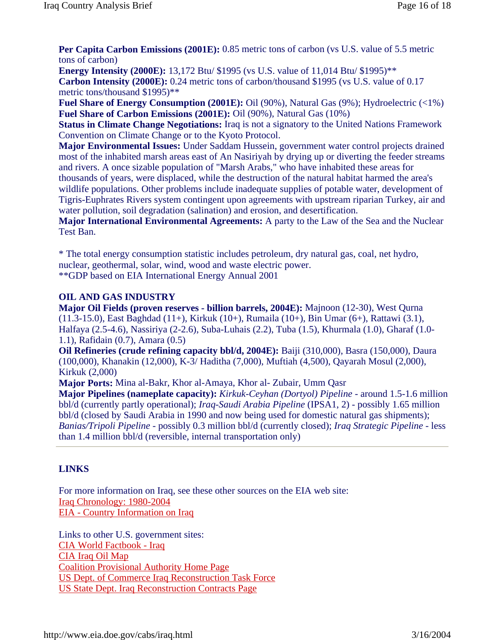**Per Capita Carbon Emissions (2001E):** 0.85 metric tons of carbon (vs U.S. value of 5.5 metric tons of carbon)

**Energy Intensity (2000E):** 13,172 Btu/ \$1995 (vs U.S. value of 11,014 Btu/ \$1995)\*\* **Carbon Intensity (2000E):** 0.24 metric tons of carbon/thousand \$1995 (vs U.S. value of 0.17 metric tons/thousand \$1995)\*\*

**Fuel Share of Energy Consumption (2001E):** Oil (90%), Natural Gas (9%); Hydroelectric (<1%) **Fuel Share of Carbon Emissions (2001E):** Oil (90%), Natural Gas (10%)

**Status in Climate Change Negotiations:** Iraq is not a signatory to the United Nations Framework Convention on Climate Change or to the Kyoto Protocol.

**Major Environmental Issues:** Under Saddam Hussein, government water control projects drained most of the inhabited marsh areas east of An Nasiriyah by drying up or diverting the feeder streams and rivers. A once sizable population of "Marsh Arabs," who have inhabited these areas for thousands of years, were displaced, while the destruction of the natural habitat harmed the area's wildlife populations. Other problems include inadequate supplies of potable water, development of

Tigris-Euphrates Rivers system contingent upon agreements with upstream riparian Turkey, air and water pollution, soil degradation (salination) and erosion, and desertification.

**Major International Environmental Agreements:** A party to the Law of the Sea and the Nuclear Test Ban.

\* The total energy consumption statistic includes petroleum, dry natural gas, coal, net hydro, nuclear, geothermal, solar, wind, wood and waste electric power. \*\*GDP based on EIA International Energy Annual 2001

# **OIL AND GAS INDUSTRY**

**Major Oil Fields (proven reserves - billion barrels, 2004E):** Majnoon (12-30), West Qurna (11.3-15.0), East Baghdad (11+), Kirkuk (10+), Rumaila (10+), Bin Umar (6+), Rattawi (3.1), Halfaya (2.5-4.6), Nassiriya (2-2.6), Suba-Luhais (2.2), Tuba (1.5), Khurmala (1.0), Gharaf (1.0- 1.1), Rafidain (0.7), Amara (0.5)

**Oil Refineries (crude refining capacity bbl/d, 2004E):** Baiji (310,000), Basra (150,000), Daura (100,000), Khanakin (12,000), K-3/ Haditha (7,000), Muftiah (4,500), Qayarah Mosul (2,000), Kirkuk (2,000)

**Major Ports:** Mina al-Bakr, Khor al-Amaya, Khor al- Zubair, Umm Qasr

**Major Pipelines (nameplate capacity):** *Kirkuk-Ceyhan (Dortyol) Pipeline* - around 1.5-1.6 million bbl/d (currently partly operational); *Iraq-Saudi Arabia Pipeline* (IPSA1, 2) - possibly 1.65 million bbl/d (closed by Saudi Arabia in 1990 and now being used for domestic natural gas shipments); *Banias/Tripoli Pipeline* - possibly 0.3 million bbl/d (currently closed); *Iraq Strategic Pipeline* - less than 1.4 million bbl/d (reversible, internal transportation only)

# **LINKS**

For more information on Iraq, see these other sources on the EIA web site: Iraq Chronology: 1980-2004 EIA - Country Information on Iraq

Links to other U.S. government sites: CIA World Factbook - Iraq CIA Iraq Oil Map Coalition Provisional Authority Home Page US Dept. of Commerce Iraq Reconstruction Task Force US State Dept. Iraq Reconstruction Contracts Page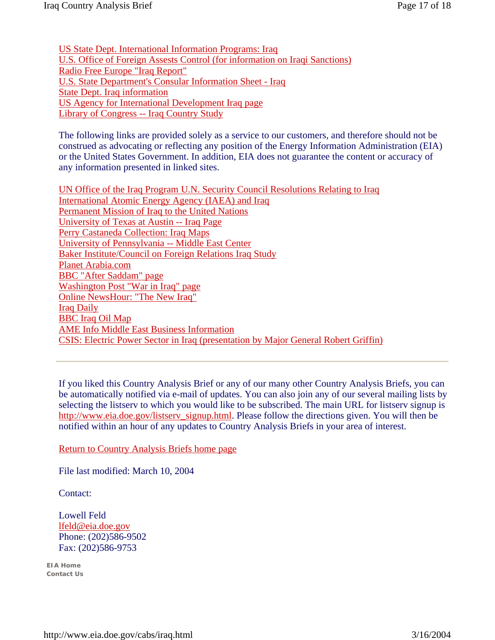US State Dept. International Information Programs: Iraq U.S. Office of Foreign Assests Control (for information on Iraqi Sanctions) Radio Free Europe "Iraq Report" U.S. State Department's Consular Information Sheet - Iraq State Dept. Iraq information US Agency for International Development Iraq page Library of Congress -- Iraq Country Study

The following links are provided solely as a service to our customers, and therefore should not be construed as advocating or reflecting any position of the Energy Information Administration (EIA) or the United States Government. In addition, EIA does not guarantee the content or accuracy of any information presented in linked sites.

UN Office of the Iraq Program U.N. Security Council Resolutions Relating to Iraq International Atomic Energy Agency (IAEA) and Iraq Permanent Mission of Iraq to the United Nations University of Texas at Austin -- Iraq Page Perry Castaneda Collection: Iraq Maps University of Pennsylvania -- Middle East Center Baker Institute/Council on Foreign Relations Iraq Study Planet Arabia.com BBC "After Saddam" page Washington Post "War in Iraq" page Online NewsHour: "The New Iraq" Iraq Daily BBC Iraq Oil Map AME Info Middle East Business Information CSIS: Electric Power Sector in Iraq (presentation by Major General Robert Griffin)

If you liked this Country Analysis Brief or any of our many other Country Analysis Briefs, you can be automatically notified via e-mail of updates. You can also join any of our several mailing lists by selecting the listserv to which you would like to be subscribed. The main URL for listserv signup is http://www.eia.doe.gov/listserv\_signup.html. Please follow the directions given. You will then be notified within an hour of any updates to Country Analysis Briefs in your area of interest.

Return to Country Analysis Briefs home page

File last modified: March 10, 2004

Contact:

Lowell Feld lfeld@eia.doe.gov Phone: (202)586-9502 Fax: (202)586-9753

**EIA Home Contact Us**